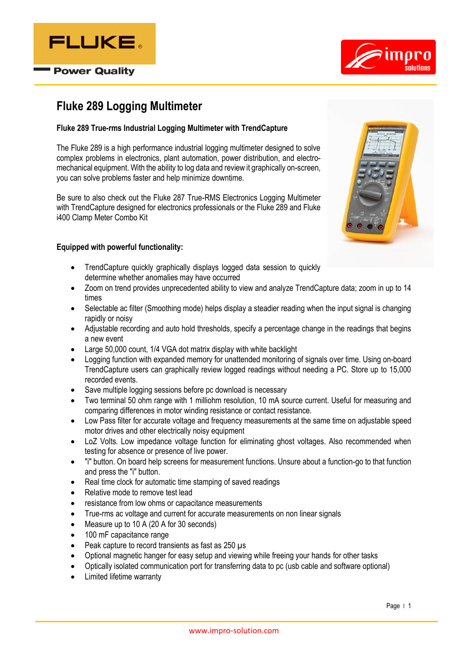



# **Fluke 289 Logging Multimeter**

## **Fluke 289 True-rms Industrial Logging Multimeter with TrendCapture**

The Fluke 289 is a high performance industrial logging multimeter designed to solve complex problems in electronics, plant automation, power distribution, and electromechanical equipment. With the ability to log data and review it graphically on-screen, you can solve problems faster and help minimize downtime.

Be sure to also check out the Fluke 287 True-RMS Electronics Logging Multimeter with TrendCapture designed for electronics professionals or the Fluke 289 and Fluke i400 Clamp Meter Combo Kit

## **Equipped with powerful functionality:**

- TrendCapture quickly graphically displays logged data session to quickly determine whether anomalies may have occurred
- Zoom on trend provides unprecedented ability to view and analyze TrendCapture data; zoom in up to 14 times
- Selectable ac filter (Smoothing mode) helps display a steadier reading when the input signal is changing rapidly or noisy
- Adjustable recording and auto hold thresholds, specify a percentage change in the readings that begins a new event
- Large 50,000 count, 1/4 VGA dot matrix display with white backlight
- Logging function with expanded memory for unattended monitoring of signals over time. Using on-board TrendCapture users can graphically review logged readings without needing a PC. Store up to 15,000 recorded events.
- Save multiple logging sessions before pc download is necessary
- Two terminal 50 ohm range with 1 milliohm resolution, 10 mA source current. Useful for measuring and comparing differences in motor winding resistance or contact resistance.
- Low Pass filter for accurate voltage and frequency measurements at the same time on adjustable speed motor drives and other electrically noisy equipment
- LoZ Volts. Low impedance voltage function for eliminating ghost voltages. Also recommended when testing for absence or presence of live power.
- "i" button. On board help screens for measurement functions. Unsure about a function-go to that function and press the "i" button.
- Real time clock for automatic time stamping of saved readings
- Relative mode to remove test lead
- resistance from low ohms or capacitance measurements
- True-rms ac voltage and current for accurate measurements on non linear signals
- Measure up to 10 A (20 A for 30 seconds)
- 100 mF capacitance range
- Peak capture to record transients as fast as 250 µs
- Optional magnetic hanger for easy setup and viewing while freeing your hands for other tasks
- Optically isolated communication port for transferring data to pc (usb cable and software optional)
- Limited lifetime warranty

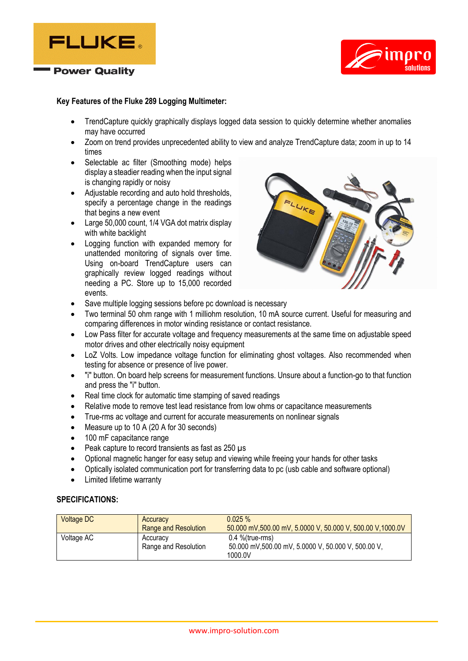



#### **Key Features of the Fluke 289 Logging Multimeter:**

- TrendCapture quickly graphically displays logged data session to quickly determine whether anomalies may have occurred
- Zoom on trend provides unprecedented ability to view and analyze TrendCapture data; zoom in up to 14 times
- Selectable ac filter (Smoothing mode) helps display a steadier reading when the input signal is changing rapidly or noisy
- Adjustable recording and auto hold thresholds, specify a percentage change in the readings that begins a new event
- Large 50,000 count, 1/4 VGA dot matrix display with white backlight
- Logging function with expanded memory for unattended monitoring of signals over time. Using on-board TrendCapture users can graphically review logged readings without needing a PC. Store up to 15,000 recorded events.



- Save multiple logging sessions before pc download is necessary
- Two terminal 50 ohm range with 1 milliohm resolution, 10 mA source current. Useful for measuring and comparing differences in motor winding resistance or contact resistance.
- Low Pass filter for accurate voltage and frequency measurements at the same time on adjustable speed motor drives and other electrically noisy equipment
- LoZ Volts. Low impedance voltage function for eliminating ghost voltages. Also recommended when testing for absence or presence of live power.
- "i" button. On board help screens for measurement functions. Unsure about a function-go to that function and press the "i" button.
- Real time clock for automatic time stamping of saved readings
- Relative mode to remove test lead resistance from low ohms or capacitance measurements
- True-rms ac voltage and current for accurate measurements on nonlinear signals
- Measure up to 10 A (20 A for 30 seconds)
- 100 mF capacitance range
- Peak capture to record transients as fast as 250 µs
- Optional magnetic hanger for easy setup and viewing while freeing your hands for other tasks
- Optically isolated communication port for transferring data to pc (usb cable and software optional)
- Limited lifetime warranty

#### **SPECIFICATIONS:**

| <b>Voltage DC</b> | Accuracy<br>Range and Resolution | $0.025 \%$<br>50.000 mV,500.00 mV, 5.0000 V, 50.000 V, 500.00 V,1000.0V            |
|-------------------|----------------------------------|------------------------------------------------------------------------------------|
| Voltage AC        | Accuracy<br>Range and Resolution | $0.4$ %(true-rms)<br>50.000 mV,500.00 mV, 5.0000 V, 50.000 V, 500.00 V,<br>1000.0V |